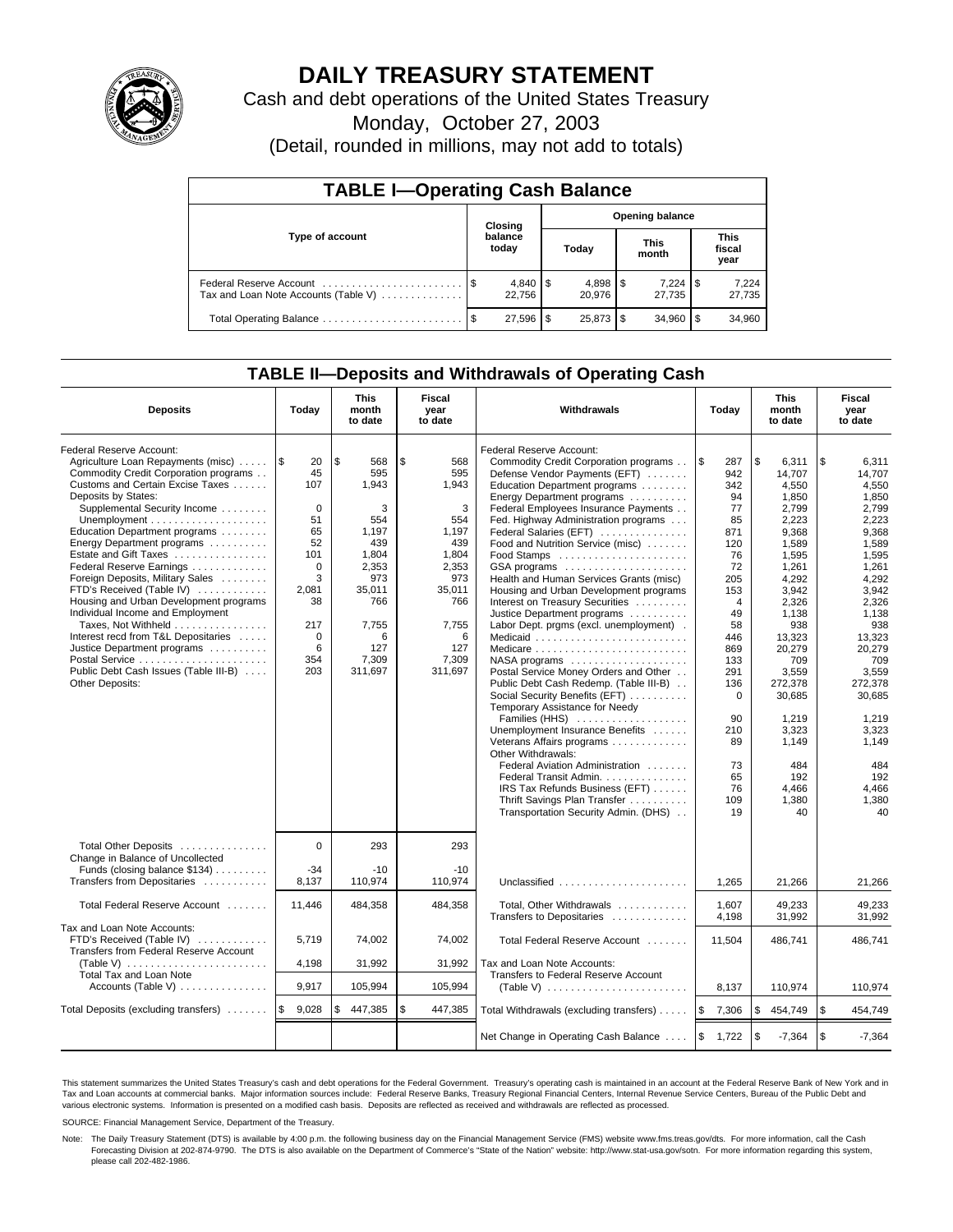

# **DAILY TREASURY STATEMENT**

Cash and debt operations of the United States Treasury

Monday, October 27, 2003

(Detail, rounded in millions, may not add to totals)

| <b>TABLE I-Operating Cash Balance</b> |      |                          |   |           |  |                        |                               |                 |  |  |
|---------------------------------------|------|--------------------------|---|-----------|--|------------------------|-------------------------------|-----------------|--|--|
| Type of account                       |      | Closing                  |   |           |  | <b>Opening balance</b> |                               |                 |  |  |
|                                       |      | balance<br>today         |   | Today     |  | <b>This</b><br>month   | <b>This</b><br>fiscal<br>year |                 |  |  |
| Tax and Loan Note Accounts (Table V)  |      | $4,840$ \ \ \$<br>22.756 |   | 20.976    |  | $7.224$ S<br>27.735    |                               | 7,224<br>27,735 |  |  |
|                                       | - \$ | 27,596                   | S | 25,873 \$ |  | 34,960                 |                               | 34,960          |  |  |

### **TABLE II—Deposits and Withdrawals of Operating Cash**

| <b>Deposits</b>                                                                                                                                                                                                                                                                                                                                                                                                                                                                                                                                                                                                                | Today                                                                                                                                      | <b>This</b><br><b>Fiscal</b><br>Withdrawals<br>month<br>year<br>to date<br>to date                                                        |                                                                                                                                          |                                                                                                                                                                                                                                                                                                                                                                                                                                                                                                                                                                                                                                                                                                                                                                                                                                                                                                                                                                                                                                         | Today                                                                                                                                                                                                              | <b>This</b><br>month<br>to date                                                                                                                                                                                                                                    | Fiscal<br>year<br>to date                                                                                                                                                                                                                                          |  |
|--------------------------------------------------------------------------------------------------------------------------------------------------------------------------------------------------------------------------------------------------------------------------------------------------------------------------------------------------------------------------------------------------------------------------------------------------------------------------------------------------------------------------------------------------------------------------------------------------------------------------------|--------------------------------------------------------------------------------------------------------------------------------------------|-------------------------------------------------------------------------------------------------------------------------------------------|------------------------------------------------------------------------------------------------------------------------------------------|-----------------------------------------------------------------------------------------------------------------------------------------------------------------------------------------------------------------------------------------------------------------------------------------------------------------------------------------------------------------------------------------------------------------------------------------------------------------------------------------------------------------------------------------------------------------------------------------------------------------------------------------------------------------------------------------------------------------------------------------------------------------------------------------------------------------------------------------------------------------------------------------------------------------------------------------------------------------------------------------------------------------------------------------|--------------------------------------------------------------------------------------------------------------------------------------------------------------------------------------------------------------------|--------------------------------------------------------------------------------------------------------------------------------------------------------------------------------------------------------------------------------------------------------------------|--------------------------------------------------------------------------------------------------------------------------------------------------------------------------------------------------------------------------------------------------------------------|--|
| Federal Reserve Account:<br>Agriculture Loan Repayments (misc)<br>Commodity Credit Corporation programs<br>Customs and Certain Excise Taxes<br>Deposits by States:<br>Supplemental Security Income<br>Education Department programs<br>Energy Department programs<br>Estate and Gift Taxes<br>Federal Reserve Earnings<br>Foreign Deposits, Military Sales<br>FTD's Received (Table IV)<br>Housing and Urban Development programs<br>Individual Income and Employment<br>Taxes, Not Withheld<br>Interest recd from T&L Depositaries<br>Justice Department programs<br>Public Debt Cash Issues (Table III-B)<br>Other Deposits: | l\$<br>20<br>45<br>107<br>$\mathbf 0$<br>51<br>65<br>52<br>101<br>$\mathbf 0$<br>3<br>2,081<br>38<br>217<br>$\mathbf 0$<br>6<br>354<br>203 | \$.<br>568<br>595<br>1,943<br>3<br>554<br>1,197<br>439<br>1,804<br>2,353<br>973<br>35,011<br>766<br>7,755<br>6<br>127<br>7,309<br>311,697 | \$<br>568<br>595<br>1,943<br>3<br>554<br>1.197<br>439<br>1,804<br>2,353<br>973<br>35,011<br>766<br>7,755<br>6<br>127<br>7,309<br>311,697 | <b>Federal Reserve Account:</b><br>Commodity Credit Corporation programs<br>Defense Vendor Payments (EFT)<br>Education Department programs<br>Energy Department programs<br>Federal Employees Insurance Payments<br>Fed. Highway Administration programs<br>Federal Salaries (EFT)<br>Food and Nutrition Service (misc)<br>GSA programs<br>Health and Human Services Grants (misc)<br>Housing and Urban Development programs<br>Interest on Treasury Securities<br>Justice Department programs<br>Labor Dept. prgms (excl. unemployment).<br>$NASA$ programs $\ldots \ldots \ldots \ldots \ldots$<br>Postal Service Money Orders and Other<br>Public Debt Cash Redemp. (Table III-B)<br>Social Security Benefits (EFT)<br>Temporary Assistance for Needy<br>Families (HHS)<br>Unemployment Insurance Benefits<br>Veterans Affairs programs<br>Other Withdrawals:<br>Federal Aviation Administration<br>Federal Transit Admin.<br>IRS Tax Refunds Business (EFT)<br>Thrift Savings Plan Transfer<br>Transportation Security Admin. (DHS) | l \$<br>287<br>942<br>342<br>94<br>77<br>85<br>871<br>120<br>76<br>72<br>205<br>153<br>$\overline{4}$<br>49<br>58<br>446<br>869<br>133<br>291<br>136<br>$\Omega$<br>90<br>210<br>89<br>73<br>65<br>76<br>109<br>19 | \$<br>6,311<br>14.707<br>4,550<br>1,850<br>2.799<br>2.223<br>9,368<br>1,589<br>1,595<br>1,261<br>4,292<br>3.942<br>2,326<br>1,138<br>938<br>13,323<br>20,279<br>709<br>3,559<br>272,378<br>30,685<br>1,219<br>3,323<br>1.149<br>484<br>192<br>4.466<br>1,380<br>40 | \$<br>6,311<br>14.707<br>4,550<br>1,850<br>2.799<br>2.223<br>9,368<br>1,589<br>1,595<br>1,261<br>4,292<br>3,942<br>2,326<br>1,138<br>938<br>13,323<br>20,279<br>709<br>3,559<br>272.378<br>30,685<br>1,219<br>3,323<br>1.149<br>484<br>192<br>4,466<br>1,380<br>40 |  |
| Total Other Deposits<br>Change in Balance of Uncollected<br>Funds (closing balance \$134)                                                                                                                                                                                                                                                                                                                                                                                                                                                                                                                                      | $\Omega$<br>$-34$                                                                                                                          | 293<br>$-10$                                                                                                                              | 293<br>$-10$                                                                                                                             |                                                                                                                                                                                                                                                                                                                                                                                                                                                                                                                                                                                                                                                                                                                                                                                                                                                                                                                                                                                                                                         |                                                                                                                                                                                                                    |                                                                                                                                                                                                                                                                    |                                                                                                                                                                                                                                                                    |  |
| Transfers from Depositaries                                                                                                                                                                                                                                                                                                                                                                                                                                                                                                                                                                                                    | 8,137                                                                                                                                      | 110,974                                                                                                                                   | 110,974                                                                                                                                  | Unclassified                                                                                                                                                                                                                                                                                                                                                                                                                                                                                                                                                                                                                                                                                                                                                                                                                                                                                                                                                                                                                            | 1,265                                                                                                                                                                                                              | 21,266                                                                                                                                                                                                                                                             | 21,266                                                                                                                                                                                                                                                             |  |
| Total Federal Reserve Account                                                                                                                                                                                                                                                                                                                                                                                                                                                                                                                                                                                                  | 11,446                                                                                                                                     | 484,358                                                                                                                                   | 484,358                                                                                                                                  | Total, Other Withdrawals<br>Transfers to Depositaries                                                                                                                                                                                                                                                                                                                                                                                                                                                                                                                                                                                                                                                                                                                                                                                                                                                                                                                                                                                   | 1,607<br>4,198                                                                                                                                                                                                     | 49,233<br>31,992                                                                                                                                                                                                                                                   | 49,233<br>31.992                                                                                                                                                                                                                                                   |  |
| Tax and Loan Note Accounts:<br>FTD's Received (Table IV)<br>Transfers from Federal Reserve Account                                                                                                                                                                                                                                                                                                                                                                                                                                                                                                                             | 5,719<br>4,198                                                                                                                             | 74,002<br>31,992                                                                                                                          | 74,002<br>31,992                                                                                                                         | Total Federal Reserve Account<br>Tax and Loan Note Accounts:                                                                                                                                                                                                                                                                                                                                                                                                                                                                                                                                                                                                                                                                                                                                                                                                                                                                                                                                                                            | 11.504                                                                                                                                                                                                             | 486.741                                                                                                                                                                                                                                                            | 486.741                                                                                                                                                                                                                                                            |  |
| Total Tax and Loan Note<br>Accounts (Table V) $\dots \dots \dots \dots$                                                                                                                                                                                                                                                                                                                                                                                                                                                                                                                                                        | 9,917                                                                                                                                      | 105,994                                                                                                                                   | 105.994                                                                                                                                  | Transfers to Federal Reserve Account                                                                                                                                                                                                                                                                                                                                                                                                                                                                                                                                                                                                                                                                                                                                                                                                                                                                                                                                                                                                    | 8,137                                                                                                                                                                                                              | 110,974                                                                                                                                                                                                                                                            | 110,974                                                                                                                                                                                                                                                            |  |
| Total Deposits (excluding transfers)                                                                                                                                                                                                                                                                                                                                                                                                                                                                                                                                                                                           | 1\$<br>9,028                                                                                                                               | 447,385<br>S                                                                                                                              | \$<br>447,385                                                                                                                            |                                                                                                                                                                                                                                                                                                                                                                                                                                                                                                                                                                                                                                                                                                                                                                                                                                                                                                                                                                                                                                         | 5                                                                                                                                                                                                                  | \$                                                                                                                                                                                                                                                                 | \$<br>454,749                                                                                                                                                                                                                                                      |  |
|                                                                                                                                                                                                                                                                                                                                                                                                                                                                                                                                                                                                                                |                                                                                                                                            |                                                                                                                                           |                                                                                                                                          | Total Withdrawals (excluding transfers)                                                                                                                                                                                                                                                                                                                                                                                                                                                                                                                                                                                                                                                                                                                                                                                                                                                                                                                                                                                                 | 7,306                                                                                                                                                                                                              | 454,749                                                                                                                                                                                                                                                            |                                                                                                                                                                                                                                                                    |  |
|                                                                                                                                                                                                                                                                                                                                                                                                                                                                                                                                                                                                                                |                                                                                                                                            |                                                                                                                                           |                                                                                                                                          | Net Change in Operating Cash Balance                                                                                                                                                                                                                                                                                                                                                                                                                                                                                                                                                                                                                                                                                                                                                                                                                                                                                                                                                                                                    | <b>S</b><br>1,722                                                                                                                                                                                                  | \$<br>$-7,364$                                                                                                                                                                                                                                                     | $\sqrt{3}$<br>$-7,364$                                                                                                                                                                                                                                             |  |

This statement summarizes the United States Treasury's cash and debt operations for the Federal Government. Treasury's operating cash is maintained in an account at the Federal Reserve Bank of New York and in Tax and Loan accounts at commercial banks. Major information sources include: Federal Reserve Banks, Treasury Regional Financial Centers, Internal Revenue Service Centers, Bureau of the Public Debt and<br>various electronic s

SOURCE: Financial Management Service, Department of the Treasury.

Note: The Daily Treasury Statement (DTS) is available by 4:00 p.m. the following business day on the Financial Management Service (FMS) website www.fms.treas.gov/dts. For more information, call the Cash Forecasting Division at 202-874-9790. The DTS is also available on the Department of Commerce's "State of the Nation" website: http://www.stat-usa.gov/sotn. For more information regarding this system, please call 202-482-1986.